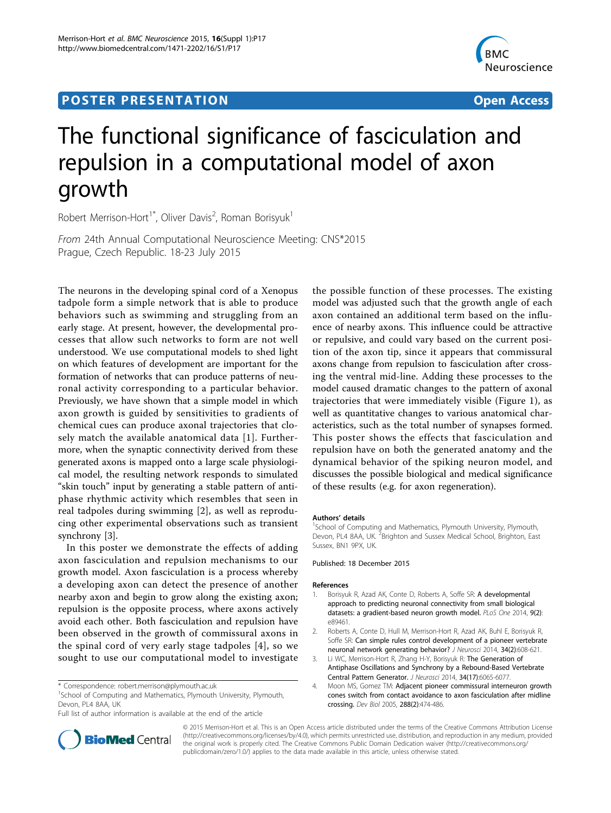## Post Experimental Police in the St English Police in the St English Police in the St English Police in the St<br>Police in the St English Police in the St English Police in the St English Police in the St English Police in



# The functional significance of fasciculation and repulsion in a computational model of axon growth

Robert Merrison-Hort<sup>1\*</sup>, Oliver Davis<sup>2</sup>, Roman Borisyuk<sup>1</sup>

From 24th Annual Computational Neuroscience Meeting: CNS\*2015 Prague, Czech Republic. 18-23 July 2015

The neurons in the developing spinal cord of a Xenopus tadpole form a simple network that is able to produce behaviors such as swimming and struggling from an early stage. At present, however, the developmental processes that allow such networks to form are not well understood. We use computational models to shed light on which features of development are important for the formation of networks that can produce patterns of neuronal activity corresponding to a particular behavior. Previously, we have shown that a simple model in which axon growth is guided by sensitivities to gradients of chemical cues can produce axonal trajectories that closely match the available anatomical data [1]. Furthermore, when the synaptic connectivity derived from these generated axons is mapped onto a large scale physiological model, the resulting network responds to simulated "skin touch" input by generating a stable pattern of antiphase rhythmic activity which resembles that seen in real tadpoles during swimming [2], as well as reproducing other experimental observations such as transient synchrony [3].

In this poster we demonstrate the effects of adding axon fasciculation and repulsion mechanisms to our growth model. Axon fasciculation is a process whereby a developing axon can detect the presence of another nearby axon and begin to grow along the existing axon; repulsion is the opposite process, where axons actively avoid each other. Both fasciculation and repulsion have been observed in the growth of commissural axons in the spinal cord of very early stage tadpoles [4], so we sought to use our computational model to investigate

<sup>1</sup>School of Computing and Mathematics, Plymouth University, Plymouth, Devon, PL4 8AA, UK

Full list of author information is available at the end of the article

the possible function of these processes. The existing model was adjusted such that the growth angle of each axon contained an additional term based on the influence of nearby axons. This influence could be attractive or repulsive, and could vary based on the current position of the axon tip, since it appears that commissural axons change from repulsion to fasciculation after crossing the ventral mid-line. Adding these processes to the model caused dramatic changes to the pattern of axonal trajectories that were immediately visible (Figure 1), as well as quantitative changes to various anatomical characteristics, such as the total number of synapses formed. This poster shows the effects that fasciculation and repulsion have on both the generated anatomy and the dynamical behavior of the spiking neuron model, and discusses the possible biological and medical significance of these results (e.g. for axon regeneration).

#### Authors' details <sup>1</sup>

School of Computing and Mathematics, Plymouth University, Plymouth, Devon, PL4 8AA, UK.<sup>2</sup> Brighton and Sussex Medical School, Brighton, East Sussex, BN1 9PX, UK.

#### Published: 18 December 2015

#### References

- 1. Borisyuk R, Azad AK, Conte D, Roberts A, Soffe SR: A developmental approach to predicting neuronal connectivity from small biological datasets: a gradient-based neuron growth model. PLoS One 2014, 9(2): e89461.
- 2. Roberts A, Conte D, Hull M, Merrison-Hort R, Azad AK, Buhl E, Borisyuk R, Soffe SR: Can simple rules control development of a pioneer vertebrate neuronal network generating behavior? J Neurosci 2014, 34(2):608-621.
- 3. Li WC, Merrison-Hort R, Zhang H-Y, Borisyuk R: The Generation of Antiphase Oscillations and Synchrony by a Rebound-Based Vertebrate Central Pattern Generator. J Neurosci 2014, 34(17):6065-6077.
- 4. Moon MS, Gomez TM: Adjacent pioneer commissural interneuron growth cones switch from contact avoidance to axon fasciculation after midline crossing. Dev Biol 2005, 288(2):474-486.



© 2015 Merrison-Hort et al. This is an Open Access article distributed under the terms of the Creative Commons Attribution License [\(http://creativecommons.org/licenses/by/4.0](http://creativecommons.org/licenses/by/4.0)), which permits unrestricted use, distribution, and reproduction in any medium, provided the original work is properly cited. The Creative Commons Public Domain Dedication waiver ([http://creativecommons.org/](http://creativecommons.org/publicdomain/zero/1.0/) [publicdomain/zero/1.0/](http://creativecommons.org/publicdomain/zero/1.0/)) applies to the data made available in this article, unless otherwise stated.

<sup>\*</sup> Correspondence: [robert.merrison@plymouth.ac.uk](mailto:robert.merrison@plymouth.ac.uk)